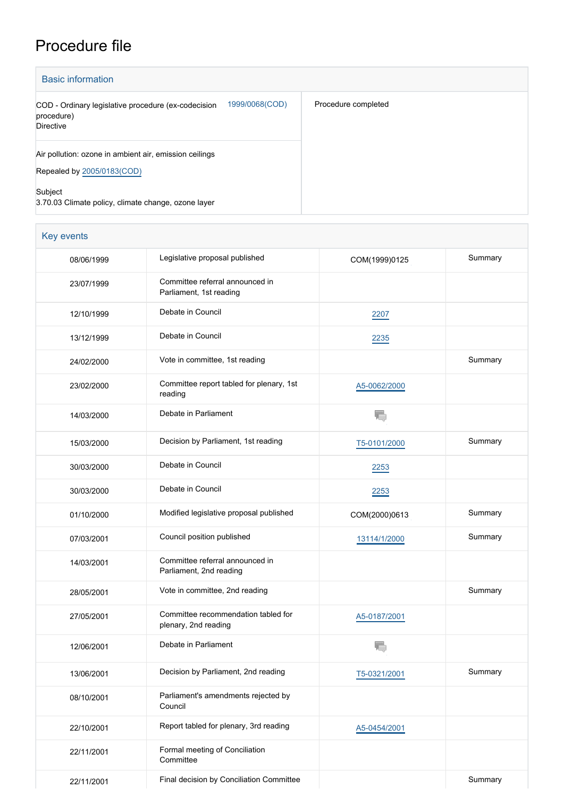## Procedure file

| <b>Basic information</b>                                                                         |                     |
|--------------------------------------------------------------------------------------------------|---------------------|
| 1999/0068(COD)<br>COD - Ordinary legislative procedure (ex-codecision<br>procedure)<br>Directive | Procedure completed |
| Air pollution: ozone in ambient air, emission ceilings<br>Repealed by 2005/0183(COD)             |                     |
| Subject<br>3.70.03 Climate policy, climate change, ozone layer                                   |                     |

| Key events |                                                             |                         |         |
|------------|-------------------------------------------------------------|-------------------------|---------|
| 08/06/1999 | Legislative proposal published                              | COM(1999)0125           | Summary |
| 23/07/1999 | Committee referral announced in<br>Parliament, 1st reading  |                         |         |
| 12/10/1999 | Debate in Council                                           | 2207                    |         |
| 13/12/1999 | Debate in Council                                           | 2235                    |         |
| 24/02/2000 | Vote in committee, 1st reading                              |                         | Summary |
| 23/02/2000 | Committee report tabled for plenary, 1st<br>reading         | A5-0062/2000            |         |
| 14/03/2000 | Debate in Parliament                                        |                         |         |
| 15/03/2000 | Decision by Parliament, 1st reading                         | T5-0101/2000            | Summary |
| 30/03/2000 | Debate in Council                                           | 2253                    |         |
| 30/03/2000 | Debate in Council                                           | 2253                    |         |
| 01/10/2000 | Modified legislative proposal published                     | COM(2000)0613           | Summary |
| 07/03/2001 | Council position published                                  | 13114/1/2000            | Summary |
| 14/03/2001 | Committee referral announced in<br>Parliament, 2nd reading  |                         |         |
| 28/05/2001 | Vote in committee, 2nd reading                              |                         | Summary |
| 27/05/2001 | Committee recommendation tabled for<br>plenary, 2nd reading | A5-0187/2001            |         |
| 12/06/2001 | Debate in Parliament                                        | k.<br>ru <sub>v</sub> i |         |
| 13/06/2001 | Decision by Parliament, 2nd reading                         | T5-0321/2001            | Summary |
| 08/10/2001 | Parliament's amendments rejected by<br>Council              |                         |         |
| 22/10/2001 | Report tabled for plenary, 3rd reading                      | A5-0454/2001            |         |
| 22/11/2001 | Formal meeting of Conciliation<br>Committee                 |                         |         |
| 22/11/2001 | Final decision by Conciliation Committee                    |                         | Summary |